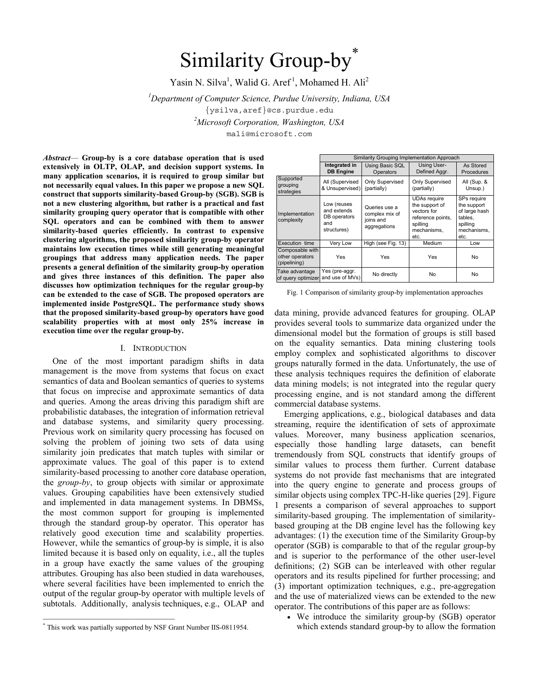# Similarity Group-by<sup>\*</sup>

Yasin N. Silva<sup>1</sup>, Walid G. Aref<sup>1</sup>, Mohamed H. Ali<sup>2</sup>

*1 Department of Computer Science, Purdue University, Indiana, USA*  {ysilva,aref}@cs.purdue.edu *2 Microsoft Corporation, Washington, USA*  mali@microsoft.com

*Abstract*— **Group-by is a core database operation that is used extensively in OLTP, OLAP, and decision support systems. In many application scenarios, it is required to group similar but not necessarily equal values. In this paper we propose a new SQL construct that supports similarity-based Group-by (SGB). SGB is not a new clustering algorithm, but rather is a practical and fast similarity grouping query operator that is compatible with other SQL operators and can be combined with them to answer similarity-based queries efficiently. In contrast to expensive clustering algorithms, the proposed similarity group-by operator maintains low execution times while still generating meaningful groupings that address many application needs. The paper presents a general definition of the similarity group-by operation and gives three instances of this definition. The paper also discusses how optimization techniques for the regular group-by can be extended to the case of SGB. The proposed operators are implemented inside PostgreSQL. The performance study shows that the proposed similarity-based group-by operators have good scalability properties with at most only 25% increase in execution time over the regular group-by.** 

#### I. INTRODUCTION

One of the most important paradigm shifts in data management is the move from systems that focus on exact semantics of data and Boolean semantics of queries to systems that focus on imprecise and approximate semantics of data and queries. Among the areas driving this paradigm shift are probabilistic databases, the integration of information retrieval and database systems, and similarity query processing. Previous work on similarity query processing has focused on solving the problem of joining two sets of data using similarity join predicates that match tuples with similar or approximate values. The goal of this paper is to extend similarity-based processing to another core database operation, the *group-by*, to group objects with similar or approximate values. Grouping capabilities have been extensively studied and implemented in data management systems. In DBMSs, the most common support for grouping is implemented through the standard group-by operator. This operator has relatively good execution time and scalability properties. However, while the semantics of group-by is simple, it is also limited because it is based only on equality, i.e., all the tuples in a group have exactly the same values of the grouping attributes. Grouping has also been studied in data warehouses, where several facilities have been implemented to enrich the output of the regular group-by operator with multiple levels of subtotals. Additionally, analysis techniques, e.g., OLAP and

———————————————

|                                                    | Similarity Grouping Implementation Approach                      |                                                              |                                                                                                              |                                                                                           |
|----------------------------------------------------|------------------------------------------------------------------|--------------------------------------------------------------|--------------------------------------------------------------------------------------------------------------|-------------------------------------------------------------------------------------------|
|                                                    | Integrated in<br><b>DB Engine</b>                                | <b>Using Basic SQL</b><br>Operators                          | <b>Using User-</b><br>Defined Aggr.                                                                          | As Stored<br>Procedures                                                                   |
| Supported<br>grouping<br>strategies                | All (Supervised<br>& Unsupervised)                               | Only Supervised<br>(partially)                               | Only Supervised<br>(partially)                                                                               | All (Sup. &<br>Unsup.)                                                                    |
| Implementation<br>complexity                       | Low (reuses<br>and extends<br>DB operators<br>and<br>structures) | Queries use a<br>complex mix of<br>joins and<br>aggregations | <b>UDAs require</b><br>the support of<br>vectors for<br>reference points,<br>spilling<br>mechanisms,<br>etc. | SPs require<br>the support<br>of large hash<br>tables.<br>spilling<br>mechanisms,<br>etc. |
| Execution time                                     | Very Low                                                         | High (see Fig. 13)                                           | Medium                                                                                                       | Low                                                                                       |
| Composable with<br>other operators<br>(pipelining) | Yes                                                              | Yes                                                          | Yes                                                                                                          | <b>No</b>                                                                                 |
| Take advantage<br>of query optimizer               | Yes (pre-aggr.<br>and use of MVs)                                | No directly                                                  | No                                                                                                           | <b>No</b>                                                                                 |

Fig. 1 Comparison of similarity group-by implementation approaches

data mining, provide advanced features for grouping. OLAP provides several tools to summarize data organized under the dimensional model but the formation of groups is still based on the equality semantics. Data mining clustering tools employ complex and sophisticated algorithms to discover groups naturally formed in the data. Unfortunately, the use of these analysis techniques requires the definition of elaborate data mining models; is not integrated into the regular query processing engine, and is not standard among the different commercial database systems.

Emerging applications, e.g., biological databases and data streaming, require the identification of sets of approximate values. Moreover, many business application scenarios, especially those handling large datasets, can benefit tremendously from SQL constructs that identify groups of similar values to process them further. Current database systems do not provide fast mechanisms that are integrated into the query engine to generate and process groups of similar objects using complex TPC-H-like queries [29]. Figure 1 presents a comparison of several approaches to support similarity-based grouping. The implementation of similaritybased grouping at the DB engine level has the following key advantages: (1) the execution time of the Similarity Group-by operator (SGB) is comparable to that of the regular group-by and is superior to the performance of the other user-level definitions; (2) SGB can be interleaved with other regular operators and its results pipelined for further processing; and (3) important optimization techniques, e.g., pre-aggregation and the use of materialized views can be extended to the new operator. The contributions of this paper are as follows:

• We introduce the similarity group-by (SGB) operator which extends standard group-by to allow the formation

<sup>\*</sup> This work was partially supported by NSF Grant Number IIS-0811954.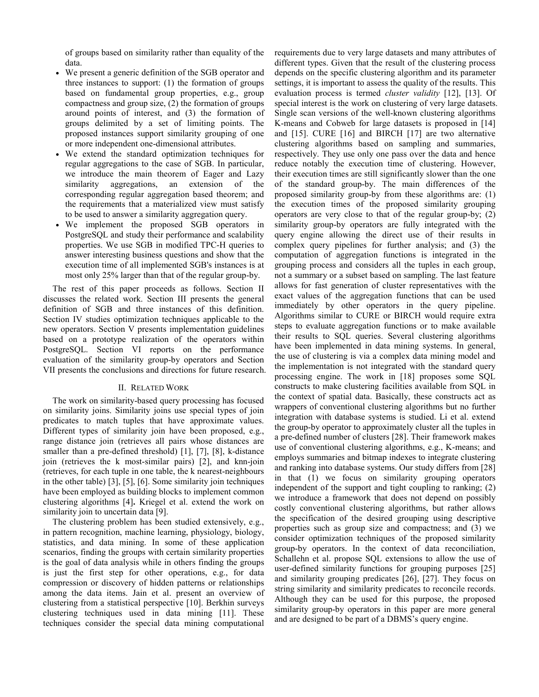of groups based on similarity rather than equality of the data.

- We present a generic definition of the SGB operator and three instances to support: (1) the formation of groups based on fundamental group properties, e.g., group compactness and group size, (2) the formation of groups around points of interest, and (3) the formation of groups delimited by a set of limiting points. The proposed instances support similarity grouping of one or more independent one-dimensional attributes.
- We extend the standard optimization techniques for regular aggregations to the case of SGB. In particular, we introduce the main theorem of Eager and Lazy similarity aggregations, an extension of the corresponding regular aggregation based theorem; and the requirements that a materialized view must satisfy to be used to answer a similarity aggregation query.
- We implement the proposed SGB operators in PostgreSQL and study their performance and scalability properties. We use SGB in modified TPC-H queries to answer interesting business questions and show that the execution time of all implemented SGB's instances is at most only 25% larger than that of the regular group-by.

The rest of this paper proceeds as follows. Section II discusses the related work. Section III presents the general definition of SGB and three instances of this definition. Section IV studies optimization techniques applicable to the new operators. Section V presents implementation guidelines based on a prototype realization of the operators within PostgreSQL. Section VI reports on the performance evaluation of the similarity group-by operators and Section VII presents the conclusions and directions for future research.

## II. RELATED WORK

The work on similarity-based query processing has focused on similarity joins. Similarity joins use special types of join predicates to match tuples that have approximate values. Different types of similarity join have been proposed, e.g., range distance join (retrieves all pairs whose distances are smaller than a pre-defined threshold) [1], [7], [8], k-distance join (retrieves the k most-similar pairs) [2], and knn-join (retrieves, for each tuple in one table, the k nearest-neighbours in the other table) [3], [5], [6]. Some similarity join techniques have been employed as building blocks to implement common clustering algorithms [4]**.** Kriegel et al. extend the work on similarity join to uncertain data [9].

The clustering problem has been studied extensively, e.g., in pattern recognition, machine learning, physiology, biology, statistics, and data mining. In some of these application scenarios, finding the groups with certain similarity properties is the goal of data analysis while in others finding the groups is just the first step for other operations, e.g., for data compression or discovery of hidden patterns or relationships among the data items. Jain et al. present an overview of clustering from a statistical perspective [10]. Berkhin surveys clustering techniques used in data mining [11]. These techniques consider the special data mining computational

requirements due to very large datasets and many attributes of different types. Given that the result of the clustering process depends on the specific clustering algorithm and its parameter settings, it is important to assess the quality of the results. This evaluation process is termed *cluster validity* [12], [13]. Of special interest is the work on clustering of very large datasets. Single scan versions of the well-known clustering algorithms K-means and Cobweb for large datasets is proposed in [14] and [15]. CURE [16] and BIRCH [17] are two alternative clustering algorithms based on sampling and summaries, respectively. They use only one pass over the data and hence reduce notably the execution time of clustering. However, their execution times are still significantly slower than the one of the standard group-by. The main differences of the proposed similarity group-by from these algorithms are: (1) the execution times of the proposed similarity grouping operators are very close to that of the regular group-by; (2) similarity group-by operators are fully integrated with the query engine allowing the direct use of their results in complex query pipelines for further analysis; and (3) the computation of aggregation functions is integrated in the grouping process and considers all the tuples in each group, not a summary or a subset based on sampling. The last feature allows for fast generation of cluster representatives with the exact values of the aggregation functions that can be used immediately by other operators in the query pipeline. Algorithms similar to CURE or BIRCH would require extra steps to evaluate aggregation functions or to make available their results to SQL queries. Several clustering algorithms have been implemented in data mining systems. In general, the use of clustering is via a complex data mining model and the implementation is not integrated with the standard query processing engine. The work in [18] proposes some SQL constructs to make clustering facilities available from SQL in the context of spatial data. Basically, these constructs act as wrappers of conventional clustering algorithms but no further integration with database systems is studied. Li et al. extend the group-by operator to approximately cluster all the tuples in a pre-defined number of clusters [28]. Their framework makes use of conventional clustering algorithms, e.g., K-means; and employs summaries and bitmap indexes to integrate clustering and ranking into database systems. Our study differs from [28] in that (1) we focus on similarity grouping operators independent of the support and tight coupling to ranking; (2) we introduce a framework that does not depend on possibly costly conventional clustering algorithms, but rather allows the specification of the desired grouping using descriptive properties such as group size and compactness; and (3) we consider optimization techniques of the proposed similarity group-by operators. In the context of data reconciliation, Schallehn et al. propose SQL extensions to allow the use of user-defined similarity functions for grouping purposes [25] and similarity grouping predicates [26], [27]. They focus on string similarity and similarity predicates to reconcile records. Although they can be used for this purpose, the proposed similarity group-by operators in this paper are more general and are designed to be part of a DBMS's query engine.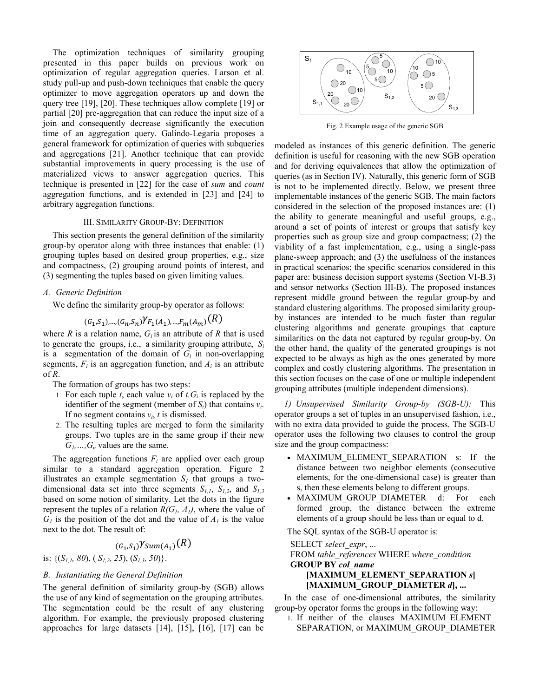The optimization techniques of similarity grouping presented in this paper builds on previous work on optimization of regular aggregation queries. Larson et al. study pull-up and push-down techniques that enable the query optimizer to move aggregation operators up and down the query tree [19], [20]. These techniques allow complete [19] or partial [20] pre-aggregation that can reduce the input size of a join and consequently decrease significantly the execution time of an aggregation query. Galindo-Legaria proposes a general framework for optimization of queries with subqueries and aggregations [21]. Another technique that can provide substantial improvements in query processing is the use of materialized views to answer aggregation queries. This technique is presented in [22] for the case of *sum* and *count* aggregation functions, and is extended in [23] and [24] to arbitrary aggregation functions.

#### III. SIMILARITY GROUP-BY: DEFINITION

This section presents the general definition of the similarity group-by operator along with three instances that enable: (1) grouping tuples based on desired group properties, e.g., size and compactness, (2) grouping around points of interest, and (3) segmenting the tuples based on given limiting values.

#### *A. Generic Definition*

We define the similarity group-by operator as follows:

$$
_{(G_1,S_1),...,(G_n,S_n)}\gamma_{F_1(A_1),...,F_m(A_m)}(R)
$$

where *R* is a relation name,  $G_i$  is an attribute of *R* that is used to generate the groups, i.e., a similarity grouping attribute, *Si* is a segmentation of the domain of  $G_i$  in non-overlapping segments,  $F_i$  is an aggregation function, and  $A_i$  is an attribute of *R*.

The formation of groups has two steps:

- 1. For each tuple *t*, each value  $v_i$  of *t*.  $G_i$  is replaced by the identifier of the segment (member of  $S_i$ ) that contains  $v_i$ . If no segment contains  $v_i$ ,  $t$  is dismissed.
- 2. The resulting tuples are merged to form the similarity groups. Two tuples are in the same group if their new  $G_1, \ldots, G_n$  values are the same.

The aggregation functions  $F_i$  are applied over each group similar to a standard aggregation operation. Figure 2 illustrates an example segmentation  $S_I$  that groups a twodimensional data set into three segments  $S_{I,I}$ ,  $S_{I,2}$ , and  $S_{I,3}$ based on some notion of similarity. Let the dots in the figure represent the tuples of a relation  $R(G_l, A_l)$ , where the value of  $G_l$  is the position of the dot and the value of  $A_l$  is the value next to the dot. The result of:

$$
_{(G_1,S_1)}\gamma_{Sum(A_1)}(R)
$$

is: {(*S1,1, 80*), ( *S1,2, 25*), (*S1,3, 50*)}.

## *B. Instantiating the General Definition*

The general definition of similarity group-by (SGB) allows the use of any kind of segmentation on the grouping attributes. The segmentation could be the result of any clustering algorithm. For example, the previously proposed clustering approaches for large datasets [14], [15], [16], [17] can be



Fig. 2 Example usage of the generic SGB

modeled as instances of this generic definition. The generic definition is useful for reasoning with the new SGB operation and for deriving equivalences that allow the optimization of queries (as in Section IV). Naturally, this generic form of SGB is not to be implemented directly. Below, we present three implementable instances of the generic SGB. The main factors considered in the selection of the proposed instances are: (1) the ability to generate meaningful and useful groups, e.g., around a set of points of interest or groups that satisfy key properties such as group size and group compactness; (2) the viability of a fast implementation, e.g., using a single-pass plane-sweep approach; and (3) the usefulness of the instances in practical scenarios; the specific scenarios considered in this paper are: business decision support systems (Section VI-B.3) and sensor networks (Section III-B). The proposed instances represent middle ground between the regular group-by and standard clustering algorithms. The proposed similarity groupby instances are intended to be much faster than regular clustering algorithms and generate groupings that capture similarities on the data not captured by regular group-by. On the other hand, the quality of the generated groupings is not expected to be always as high as the ones generated by more complex and costly clustering algorithms. The presentation in this section focuses on the case of one or multiple independent grouping attributes (multiple independent dimensions).

*1) Unsupervised Similarity Group-by (SGB-U):* This operator groups a set of tuples in an unsupervised fashion, i.e., with no extra data provided to guide the process. The SGB-U operator uses the following two clauses to control the group size and the group compactness:

- MAXIMUM ELEMENT SEPARATION s: If the distance between two neighbor elements (consecutive elements, for the one-dimensional case) is greater than s, then these elements belong to different groups.
- MAXIMUM\_GROUP\_DIAMETER d: For each formed group, the distance between the extreme elements of a group should be less than or equal to d.

The SQL syntax of the SGB-U operator is:

# SELECT *select\_expr*, ...

FROM *table\_references* WHERE *where\_condition* **GROUP BY** *col\_name*

# **[MAXIMUM\_ELEMENT\_SEPARATION** *s***] [MAXIMUM\_GROUP\_DIAMETER** *d***], ...**

In the case of one-dimensional attributes, the similarity group-by operator forms the groups in the following way:

1. If neither of the clauses MAXIMUM\_ELEMENT\_ SEPARATION, or MAXIMUM\_GROUP\_DIAMETER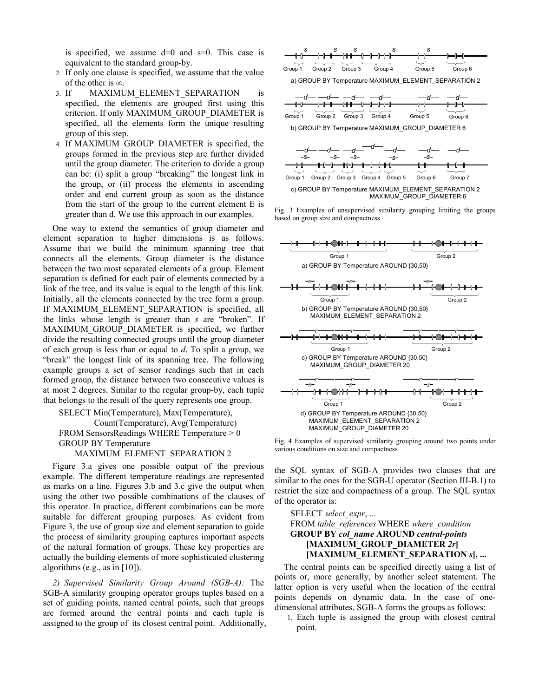is specified, we assume  $d=0$  and  $s=0$ . This case is equivalent to the standard group-by.

- 2. If only one clause is specified, we assume that the value of the other is ∞.
- 3. If MAXIMUM\_ELEMENT\_SEPARATION is specified, the elements are grouped first using this criterion. If only MAXIMUM\_GROUP\_DIAMETER is specified, all the elements form the unique resulting group of this step.
- 4. If MAXIMUM\_GROUP\_DIAMETER is specified, the groups formed in the previous step are further divided until the group diameter. The criterion to divide a group can be: (i) split a group "breaking" the longest link in the group, or (ii) process the elements in ascending order and end current group as soon as the distance from the start of the group to the current element E is greater than d. We use this approach in our examples.

One way to extend the semantics of group diameter and element separation to higher dimensions is as follows. Assume that we build the minimum spanning tree that connects all the elements. Group diameter is the distance between the two most separated elements of a group. Element separation is defined for each pair of elements connected by a link of the tree, and its value is equal to the length of this link. Initially, all the elements connected by the tree form a group. If MAXIMUM\_ELEMENT\_SEPARATION is specified, all the links whose length is greater than *s* are "broken". If MAXIMUM\_GROUP\_DIAMETER is specified, we further divide the resulting connected groups until the group diameter of each group is less than or equal to *d*. To split a group, we "break" the longest link of its spanning tree. The following example groups a set of sensor readings such that in each formed group, the distance between two consecutive values is at most 2 degrees. Similar to the regular group-by, each tuple that belongs to the result of the query represents one group.

SELECT Min(Temperature), Max(Temperature), Count(Temperature), Avg(Temperature) FROM SensorsReadings WHERE Temperature > 0 GROUP BY Temperature MAXIMUM\_ELEMENT\_SEPARATION 2

Figure 3.a gives one possible output of the previous example. The different temperature readings are represented as marks on a line. Figures 3.b and 3.c give the output when using the other two possible combinations of the clauses of this operator. In practice, different combinations can be more suitable for different grouping purposes. As evident from Figure 3, the use of group size and element separation to guide the process of similarity grouping captures important aspects of the natural formation of groups. These key properties are actually the building elements of more sophisticated clustering algorithms (e.g., as in  $[10]$ ).

*2) Supervised Similarity Group Around (SGB-A):* The SGB-A similarity grouping operator groups tuples based on a set of guiding points, named central points, such that groups are formed around the central points and each tuple is assigned to the group of its closest central point. Additionally,



c) GROUP BY Temperature MAXIMUM\_ELEMENT\_SEPARATION 2 MAXIMUM\_GROUP\_DIAMETER 6





Fig. 4 Examples of supervised similarity grouping around two points under various conditions on size and compactness

the SQL syntax of SGB-A provides two clauses that are similar to the ones for the SGB-U operator (Section III-B.1) to restrict the size and compactness of a group. The SQL syntax of the operator is:

SELECT *select\_expr*, ... FROM *table\_references* WHERE *where\_condition* **GROUP BY** *col\_name* **AROUND** *central-points*  **[MAXIMUM\_GROUP\_DIAMETER** *2r***] [MAXIMUM\_ELEMENT\_SEPARATION** *s***], ...** 

The central points can be specified directly using a list of points or, more generally, by another select statement. The latter option is very useful when the location of the central points depends on dynamic data. In the case of onedimensional attributes, SGB-A forms the groups as follows:

1. Each tuple is assigned the group with closest central point.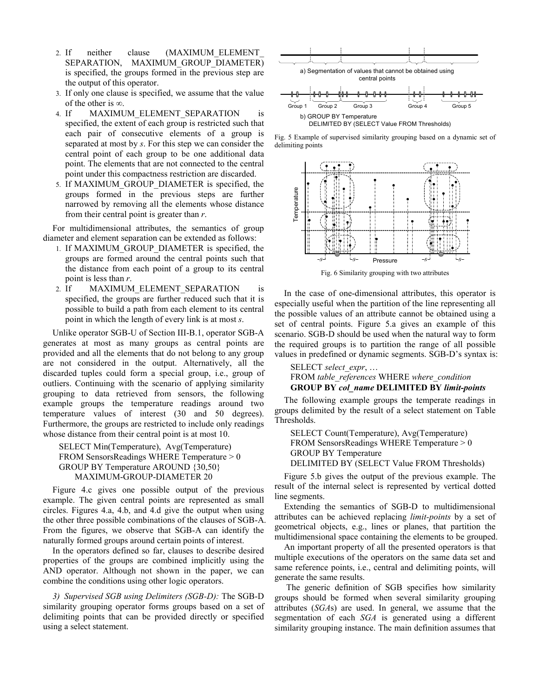- 2. If neither clause (MAXIMUM ELEMENT SEPARATION, MAXIMUM\_GROUP\_DIAMETER) is specified, the groups formed in the previous step are the output of this operator.
- 3. If only one clause is specified, we assume that the value of the other is ∞.
- 4. If MAXIMUM ELEMENT SEPARATION is specified, the extent of each group is restricted such that each pair of consecutive elements of a group is separated at most by *s*. For this step we can consider the central point of each group to be one additional data point. The elements that are not connected to the central point under this compactness restriction are discarded.
- 5. If MAXIMUM\_GROUP\_DIAMETER is specified, the groups formed in the previous steps are further narrowed by removing all the elements whose distance from their central point is greater than *r*.

For multidimensional attributes, the semantics of group diameter and element separation can be extended as follows:

- 1. If MAXIMUM\_GROUP\_DIAMETER is specified, the groups are formed around the central points such that the distance from each point of a group to its central point is less than *r*.
- 2. If MAXIMUM ELEMENT SEPARATION is specified, the groups are further reduced such that it is possible to build a path from each element to its central point in which the length of every link is at most *s*.

Unlike operator SGB-U of Section III-B.1, operator SGB-A generates at most as many groups as central points are provided and all the elements that do not belong to any group are not considered in the output. Alternatively, all the discarded tuples could form a special group, i.e., group of outliers. Continuing with the scenario of applying similarity grouping to data retrieved from sensors, the following example groups the temperature readings around two temperature values of interest (30 and 50 degrees). Furthermore, the groups are restricted to include only readings whose distance from their central point is at most 10.

SELECT Min(Temperature), Avg(Temperature) FROM SensorsReadings WHERE Temperature > 0 GROUP BY Temperature AROUND {30,50} MAXIMUM-GROUP-DIAMETER 20

Figure 4.c gives one possible output of the previous example. The given central points are represented as small circles. Figures 4.a, 4.b, and 4.d give the output when using the other three possible combinations of the clauses of SGB-A. From the figures, we observe that SGB-A can identify the naturally formed groups around certain points of interest.

In the operators defined so far, clauses to describe desired properties of the groups are combined implicitly using the AND operator. Although not shown in the paper, we can combine the conditions using other logic operators.

*3) Supervised SGB using Delimiters (SGB-D):* The SGB-D similarity grouping operator forms groups based on a set of delimiting points that can be provided directly or specified using a select statement.



Fig. 5 Example of supervised similarity grouping based on a dynamic set of delimiting points



Fig. 6 Similarity grouping with two attributes

In the case of one-dimensional attributes, this operator is especially useful when the partition of the line representing all the possible values of an attribute cannot be obtained using a set of central points. Figure 5.a gives an example of this scenario. SGB-D should be used when the natural way to form the required groups is to partition the range of all possible values in predefined or dynamic segments. SGB-D's syntax is:

SELECT *select\_expr*, … FROM *table\_references* WHERE *where\_condition* **GROUP BY** *col\_name* **DELIMITED BY** *limit-points*

The following example groups the temperate readings in groups delimited by the result of a select statement on Table Thresholds.

SELECT Count(Temperature), Avg(Temperature) FROM SensorsReadings WHERE Temperature > 0 GROUP BY Temperature DELIMITED BY (SELECT Value FROM Thresholds)

Figure 5.b gives the output of the previous example. The result of the internal select is represented by vertical dotted line segments.

Extending the semantics of SGB-D to multidimensional attributes can be achieved replacing *limit-points* by a set of geometrical objects, e.g., lines or planes, that partition the multidimensional space containing the elements to be grouped.

An important property of all the presented operators is that multiple executions of the operators on the same data set and same reference points, i.e., central and delimiting points, will generate the same results.

 The generic definition of SGB specifies how similarity groups should be formed when several similarity grouping attributes (*SGA*s) are used. In general, we assume that the segmentation of each *SGA* is generated using a different similarity grouping instance. The main definition assumes that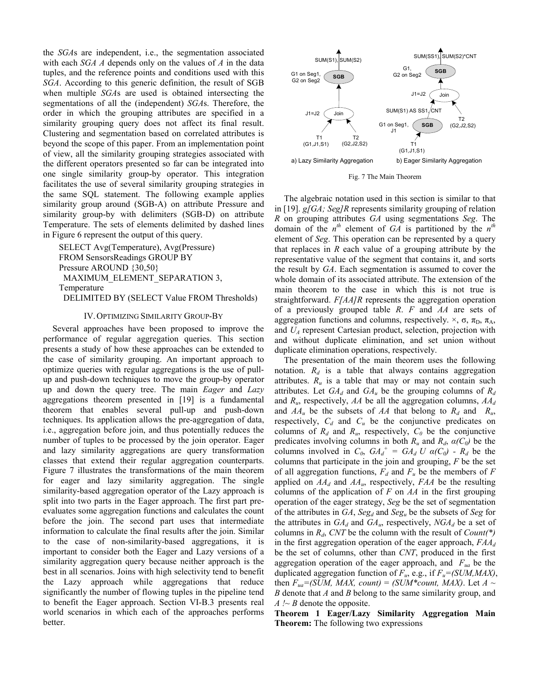the *SGA*s are independent, i.e., the segmentation associated with each *SGA A* depends only on the values of *A* in the data tuples, and the reference points and conditions used with this *SGA*. According to this generic definition, the result of SGB when multiple *SGA*s are used is obtained intersecting the segmentations of all the (independent) *SGA*s. Therefore, the order in which the grouping attributes are specified in a similarity grouping query does not affect its final result. Clustering and segmentation based on correlated attributes is beyond the scope of this paper. From an implementation point of view, all the similarity grouping strategies associated with the different operators presented so far can be integrated into one single similarity group-by operator. This integration facilitates the use of several similarity grouping strategies in the same SQL statement. The following example applies similarity group around (SGB-A) on attribute Pressure and similarity group-by with delimiters (SGB-D) on attribute Temperature. The sets of elements delimited by dashed lines in Figure 6 represent the output of this query.

SELECT Avg(Temperature), Avg(Pressure) FROM SensorsReadings GROUP BY Pressure AROUND {30,50} MAXIMUM\_ELEMENT\_SEPARATION 3, Temperature DELIMITED BY (SELECT Value FROM Thresholds)

#### IV.OPTIMIZING SIMILARITY GROUP-BY

Several approaches have been proposed to improve the performance of regular aggregation queries. This section presents a study of how these approaches can be extended to the case of similarity grouping. An important approach to optimize queries with regular aggregations is the use of pullup and push-down techniques to move the group-by operator up and down the query tree. The main *Eager* and *Lazy* aggregations theorem presented in [19] is a fundamental theorem that enables several pull-up and push-down techniques. Its application allows the pre-aggregation of data, i.e., aggregation before join, and thus potentially reduces the number of tuples to be processed by the join operator. Eager and lazy similarity aggregations are query transformation classes that extend their regular aggregation counterparts. Figure 7 illustrates the transformations of the main theorem for eager and lazy similarity aggregation. The single similarity-based aggregation operator of the Lazy approach is split into two parts in the Eager approach. The first part preevaluates some aggregation functions and calculates the count before the join. The second part uses that intermediate information to calculate the final results after the join. Similar to the case of non-similarity-based aggregations, it is important to consider both the Eager and Lazy versions of a similarity aggregation query because neither approach is the best in all scenarios. Joins with high selectivity tend to benefit the Lazy approach while aggregations that reduce significantly the number of flowing tuples in the pipeline tend to benefit the Eager approach. Section VI-B.3 presents real world scenarios in which each of the approaches performs better.



Fig. 7 The Main Theorem

The algebraic notation used in this section is similar to that in [19]. *g[GA; Seg]R* represents similarity grouping of relation *R* on grouping attributes *GA* using segmentations *Seg*. The domain of the  $n^{th}$  element of  $GA$  is partitioned by the  $n^{th}$ element of *Seg*. This operation can be represented by a query that replaces in *R* each value of a grouping attribute by the representative value of the segment that contains it, and sorts the result by *GA*. Each segmentation is assumed to cover the whole domain of its associated attribute. The extension of the main theorem to the case in which this is not true is straightforward. *F[AA]R* represents the aggregation operation of a previously grouped table *R*. *F* and *AA* are sets of aggregation functions and columns, respectively.  $\times$ ,  $\sigma$ ,  $\pi$ <sub>D</sub>,  $\pi$ <sub>A</sub>, and *UA* represent Cartesian product, selection, projection with and without duplicate elimination, and set union without duplicate elimination operations, respectively.

The presentation of the main theorem uses the following notation.  $R_d$  is a table that always contains aggregation attributes.  $R_u$  is a table that may or may not contain such attributes. Let  $GA_d$  and  $GA_u$  be the grouping columns of  $R_d$ and  $R_u$ , respectively, AA be all the aggregation columns,  $AA_d$ and  $AA_u$  be the subsets of  $AA$  that belong to  $R_d$  and  $R_u$ , respectively,  $C_d$  and  $C_u$  be the conjunctive predicates on columns of  $R_d$  and  $R_u$ , respectively,  $C_0$  be the conjunctive predicates involving columns in both  $R_u$  and  $R_d$ ,  $\alpha(C_0)$  be the columns involved in  $C_0$ ,  $G A_d^+ = G A_d U \alpha(C_0) - R_d$  be the columns that participate in the join and grouping, *F* be the set of all aggregation functions,  $F_d$  and  $F_u$  be the members of  $F$ applied on *AAd* and *AAu*, respectively, *FAA* be the resulting columns of the application of *F* on *AA* in the first grouping operation of the eager strategy, *Seg* be the set of segmentation of the attributes in *GA*, *Segd* and *Segu* be the subsets of *Seg* for the attributes in  $GA_d$  and  $GA_u$ , respectively,  $NGA_d$  be a set of columns in *Rd*, *CNT* be the column with the result of *Count(\*)* in the first aggregation operation of the eager approach,  $FAA_d$ be the set of columns, other than *CNT*, produced in the first aggregation operation of the eager approach, and *Fua* be the duplicated aggregation function of *Fu*, e.g., if *Fu=(SUM,MAX)*, then  $F_{ua} = (SUM, MAX, count) = (SUM*count, MAX)$ . Let  $A \sim$ *B* denote that *A* and *B* belong to the same similarity group, and  $A \nightharpoonup B$  denote the opposite.

**Theorem 1 Eager/Lazy Similarity Aggregation Main Theorem:** The following two expressions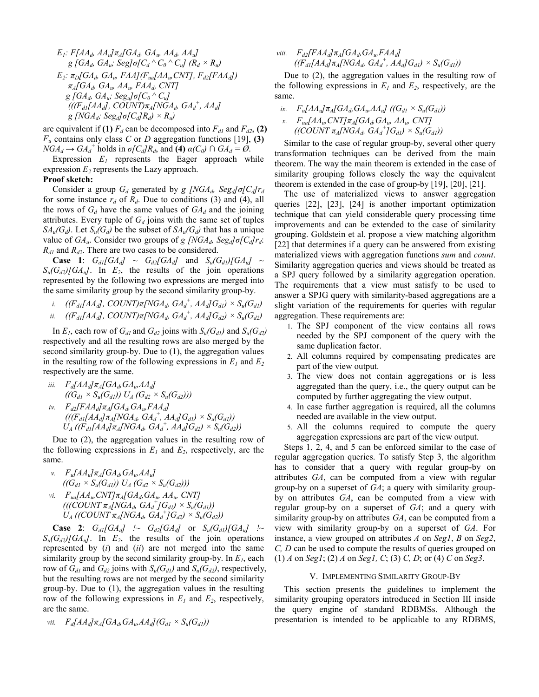$$
E_1: F[AA_d, AA_u] \pi_A[GA_d, GA_u, AA_d, AA_u]
$$
\n
$$
g[GA_d, GA_u; Seg] \sigma[C_d \wedge C_0 \wedge C_u] (R_d \times R_u)
$$
\n
$$
E_2: \pi_D[GA_d, GA_u, FAA] (F_{ua}[AA_u, CNT], F_{d2}[FAA_d])
$$
\n
$$
\pi_A[GA_d, GA_u, AA_u, FAA_d, CNT]
$$
\n
$$
g[GA_d, GA_u; Seg] \sigma[C_0 \wedge C_u]
$$
\n
$$
(((F_{d1}[AA_d], COUNT) \pi_A[NGA_d, GA_d^+, AA_d])
$$
\n
$$
g[NGA_d; Seg] \sigma[C_d] R_d \rangle \times R_u)
$$

are equivalent if **(1)**  $F_d$  can be decomposed into  $F_{d1}$  and  $F_{d2}$ , **(2)**  $F_u$  contains only class *C* or *D* aggregation functions [19], **(3)**  $NGA_d \rightarrow GA_d^+$  holds in  $\sigma$ [ $C_d/R_d$ , and **(4)**  $\alpha$ ( $C_0$ )  $\cap$   $GA_d = \emptyset$ .

Expression  $E_1$  represents the Eager approach while expression  $E_2$  represents the Lazy approach.

#### **Proof sketch:**

Consider a group *G<sub>d</sub>* generated by *g [NGA<sub>d</sub>, Seg<sub>d</sub>]σ*[*C<sub>d</sub>*]*r<sub>d</sub>* for some instance  $r_d$  of  $R_d$ . Due to conditions (3) and (4), all the rows of  $G_d$  have the same values of  $GA_d$  and the joining attributes. Every tuple of  $G_d$  joins with the same set of tuples  $SA_u(G_d)$ . Let  $S_u(G_d)$  be the subset of  $SA_u(G_d)$  that has a unique value of *GAu*. Consider two groups of *g [NGAd, Segd]σ[Cd]rd*:  $R_{d1}$  and  $R_{d2}$ . There are two cases to be considered.

**Case 1**:  $G_{d1}[G A_{d}] \sim G_{d2}[G A_{d}]$  and  $S_u(G_{d1})[G A_{u}] \sim$  $S_u(G_{d2})[GA_u]$ . In  $E_2$ , the results of the join operations represented by the following two expressions are merged into the same similarity group by the second similarity group-by.

- *i.*  $((F_{d1}[AA_d], \text{COUNT})\pi[\text{NGA}_d, \text{ GA}_d^+, \text{AA}_d]\text{G}_{d1}) \times S_u(\text{G}_{d1})$
- *ii.*  $((F_{d1}[AA_d], \text{COUNT})\pi[\text{NGA}_d, \text{ GA}_d^+, \text{ AA}_d]\text{G}_{d2}) \times S_u(\text{G}_{d2})$

In  $E_1$ , each row of  $G_{d1}$  and  $G_{d2}$  joins with  $S_u(G_{d1})$  and  $S_u(G_{d2})$ respectively and all the resulting rows are also merged by the second similarity group-by. Due to  $(1)$ , the aggregation values in the resulting row of the following expressions in  $E_1$  and  $E_2$ respectively are the same.

- *iii. F<sub>d</sub>*[*AA<sub>d</sub>*] $\pi$ <sub>*A*</sub>[*GA<sub>d</sub>, GA<sub>w</sub>AA<sub>d</sub>]*  $((G_{d1} \times S_u(G_{d1})) U_A (G_{d2} \times S_u(G_{d2})))$
- *iv.*  $F_{d2}$ [FAA<sub>d</sub>] $π_A$ [GA<sub>d</sub>, GA<sub>w</sub>FAA<sub>d</sub>]  $((F_{d1}[AA_d]\pi_A[NGA_d, GA_d^+, AA_d]G_{d1}) \times S_u(G_{d1}))$  $U_{A}$  (( $F_{d1}[AA_{d}]\pi_{A}[NGA_{d}, GA_{d}^{+}, AA_{d}]G_{d2}) \times S_{u}(G_{d2})$ )

Due to (2), the aggregation values in the resulting row of the following expressions in  $E_1$  and  $E_2$ , respectively, are the same.

$$
\nu. \quad F_u[AA_u]\pi_A[GA_d, GA_wA_u]
$$
\n
$$
((G_{d1} \times S_u(G_{d1})) \cup_A (G_{d2} \times S_u(G_{d2})))
$$
\n
$$
\nu. \quad F_{ucl}[AA_w\text{CNT}]\pi_A[GA_d, GA_w\text{ }AA_w\text{ }CNT]
$$
\n
$$
(((COUNT\pi_A[NGA_d, GA_d^+]G_{d1}) \times S_u(G_{d1})))
$$
\n
$$
U_A ((COUNT\pi_A[NGA_d, GA_d^+]G_{d2}) \times S_u(G_{d2})))
$$

**Case 2**:  $G_{d1}[GA_{d}]$  !~  $G_{d2}[GA_{d}]$  or  $S_{u}(G_{d1})[GA_{u}]$  !~  $S_u(G_{d2})$ [GA<sub>u</sub>]. In  $E_2$ , the results of the join operations represented by (*i*) and (*ii*) are not merged into the same similarity group by the second similarity group-by. In  $E<sub>1</sub>$ , each row of  $G_{d1}$  and  $G_{d2}$  joins with  $S_u(G_{d1})$  and  $S_u(G_{d2})$ , respectively, but the resulting rows are not merged by the second similarity group-by. Due to (1), the aggregation values in the resulting row of the following expressions in  $E_1$  and  $E_2$ , respectively, are the same.

*vii.* 
$$
F_d[AA_d]\pi_A[GA_d, GA_wAA_d](G_{d1} \times S_u(G_{d1}))
$$

*viii. F<sub>d2</sub>*[*FAA<sub>d</sub>*] $π_A$ [*GA<sub>d</sub>,GA<sub>u</sub>,FAA<sub>d</sub>]*  $((F_{d1}[AA_d]\pi_A[NGA_d, GA_d^+, AA_d]G_{d1}) \times S_u(G_{d1}))$ 

Due to (2), the aggregation values in the resulting row of the following expressions in  $E_1$  and  $E_2$ , respectively, are the same.

\n
$$
\text{ix.} \quad\n F_u[A A_u] \pi_A[G A_d, G A_w A A_u] \, ((G_{d1} \times S_u(G_{d1}))
$$
\n

\n\n $\text{ix.} \quad\n F_{ua}[A A_w \text{CNT}] \pi_A[G A_d, G A_w \, A A_w \text{CNT}]$ \n

\n\n $\text{(COUNT} \pi_A[\text{NG} A_d, G A_d] \, G_{d1}) \times S_u(G_{d1})$ \n

Similar to the case of regular group-by, several other query transformation techniques can be derived from the main theorem. The way the main theorem is extended in the case of similarity grouping follows closely the way the equivalent theorem is extended in the case of group-by [19], [20], [21].

The use of materialized views to answer aggregation queries [22], [23], [24] is another important optimization technique that can yield considerable query processing time improvements and can be extended to the case of similarity grouping. Goldstein et al. propose a view matching algorithm [22] that determines if a query can be answered from existing materialized views with aggregation functions *sum* and *count*. Similarity aggregation queries and views should be treated as a SPJ query followed by a similarity aggregation operation. The requirements that a view must satisfy to be used to answer a SPJG query with similarity-based aggregations are a slight variation of the requirements for queries with regular aggregation. These requirements are:

- 1. The SPJ component of the view contains all rows needed by the SPJ component of the query with the same duplication factor.
- 2. All columns required by compensating predicates are part of the view output.
- 3. The view does not contain aggregations or is less aggregated than the query, i.e., the query output can be computed by further aggregating the view output.
- 4. In case further aggregation is required, all the columns needed are available in the view output.
- 5. All the columns required to compute the query aggregation expressions are part of the view output.

Steps 1, 2, 4, and 5 can be enforced similar to the case of regular aggregation queries. To satisfy Step 3, the algorithm has to consider that a query with regular group-by on attributes *GA*, can be computed from a view with regular group-by on a superset of *GA*; a query with similarity groupby on attributes *GA*, can be computed from a view with regular group-by on a superset of *GA*; and a query with similarity group-by on attributes *GA*, can be computed from a view with similarity group-by on a superset of *GA*. For instance, a view grouped on attributes *A* on *Seg1*, *B* on *Seg2*, *C, D* can be used to compute the results of queries grouped on (1) *A* on *Seg1*; (2) *A* on *Seg1, C*; (3) *C, D*; or (4) *C* on *Seg3*.

## V. IMPLEMENTING SIMILARITY GROUP-BY

This section presents the guidelines to implement the similarity grouping operators introduced in Section III inside the query engine of standard RDBMSs. Although the presentation is intended to be applicable to any RDBMS,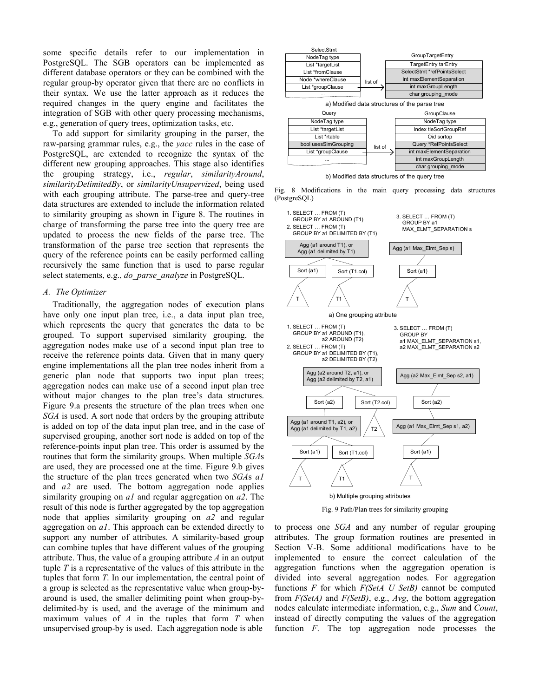some specific details refer to our implementation in PostgreSQL. The SGB operators can be implemented as different database operators or they can be combined with the regular group-by operator given that there are no conflicts in their syntax. We use the latter approach as it reduces the required changes in the query engine and facilitates the integration of SGB with other query processing mechanisms, e.g., generation of query trees, optimization tasks, etc.

To add support for similarity grouping in the parser, the raw-parsing grammar rules, e.g., the *yacc* rules in the case of PostgreSQL, are extended to recognize the syntax of the different new grouping approaches. This stage also identifies the grouping strategy, i.e., *regular*, *similarityAround*, *similarityDelimitedBy*, or *similarityUnsupervized*, being used with each grouping attribute. The parse-tree and query-tree data structures are extended to include the information related to similarity grouping as shown in Figure 8. The routines in charge of transforming the parse tree into the query tree are updated to process the new fields of the parse tree. The transformation of the parse tree section that represents the query of the reference points can be easily performed calling recursively the same function that is used to parse regular select statements, e.g., *do\_parse\_analyze* in PostgreSQL.

## *A. The Optimizer*

Traditionally, the aggregation nodes of execution plans have only one input plan tree, i.e., a data input plan tree, which represents the query that generates the data to be grouped. To support supervised similarity grouping, the aggregation nodes make use of a second input plan tree to receive the reference points data. Given that in many query engine implementations all the plan tree nodes inherit from a generic plan node that supports two input plan trees; aggregation nodes can make use of a second input plan tree without major changes to the plan tree's data structures. Figure 9.a presents the structure of the plan trees when one *SGA* is used. A sort node that orders by the grouping attribute is added on top of the data input plan tree, and in the case of supervised grouping, another sort node is added on top of the reference-points input plan tree. This order is assumed by the routines that form the similarity groups. When multiple *SGA*s are used, they are processed one at the time. Figure 9.b gives the structure of the plan trees generated when two *SGA*s *a1* and *a2* are used. The bottom aggregation node applies similarity grouping on *a1* and regular aggregation on *a2*. The result of this node is further aggregated by the top aggregation node that applies similarity grouping on *a2* and regular aggregation on *a1*. This approach can be extended directly to support any number of attributes. A similarity-based group can combine tuples that have different values of the grouping attribute. Thus, the value of a grouping attribute *A* in an output tuple *T* is a representative of the values of this attribute in the tuples that form *T*. In our implementation, the central point of a group is selected as the representative value when group-byaround is used, the smaller delimiting point when group-bydelimited-by is used, and the average of the minimum and maximum values of *A* in the tuples that form *T* when unsupervised group-by is used. Each aggregation node is able



b) Modified data structures of the query tree

Fig. 8 Modifications in the main query processing data structures (PostgreSQL)



Fig. 9 Path/Plan trees for similarity grouping

to process one *SGA* and any number of regular grouping attributes. The group formation routines are presented in Section V-B. Some additional modifications have to be implemented to ensure the correct calculation of the aggregation functions when the aggregation operation is divided into several aggregation nodes. For aggregation functions *F* for which *F(SetA U SetB)* cannot be computed from *F(SetA)* and *F(SetB)*, e.g., *Avg*, the bottom aggregation nodes calculate intermediate information, e.g., *Sum* and *Count*, instead of directly computing the values of the aggregation function *F*. The top aggregation node processes the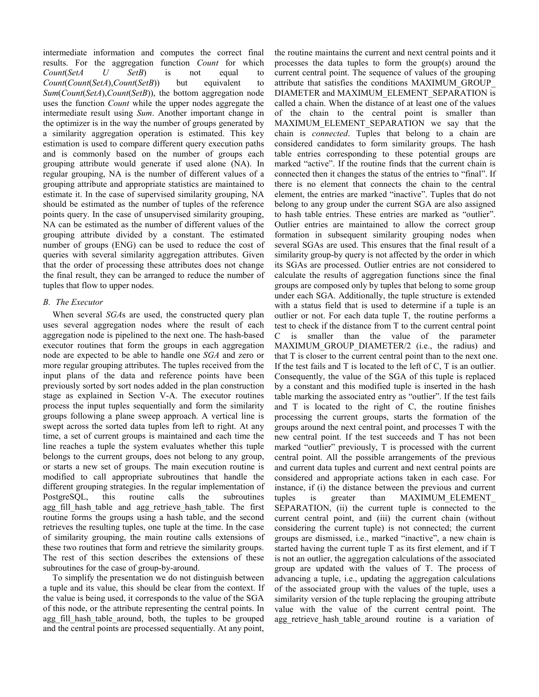intermediate information and computes the correct final results. For the aggregation function *Count* for which *Count*(*SetA U SetB*) is not equal to *Count*(*Count*(*SetA*),*Count*(*SetB*)) but equivalent to *Sum*(*Count*(*SetA*),*Count*(*SetB*)), the bottom aggregation node uses the function *Count* while the upper nodes aggregate the intermediate result using *Sum*. Another important change in the optimizer is in the way the number of groups generated by a similarity aggregation operation is estimated. This key estimation is used to compare different query execution paths and is commonly based on the number of groups each grouping attribute would generate if used alone (NA). In regular grouping, NA is the number of different values of a grouping attribute and appropriate statistics are maintained to estimate it. In the case of supervised similarity grouping, NA should be estimated as the number of tuples of the reference points query. In the case of unsupervised similarity grouping, NA can be estimated as the number of different values of the grouping attribute divided by a constant. The estimated number of groups (ENG) can be used to reduce the cost of queries with several similarity aggregation attributes. Given that the order of processing these attributes does not change the final result, they can be arranged to reduce the number of tuples that flow to upper nodes.

# *B. The Executor*

When several *SGA*s are used, the constructed query plan uses several aggregation nodes where the result of each aggregation node is pipelined to the next one. The hash-based executor routines that form the groups in each aggregation node are expected to be able to handle one *SGA* and zero or more regular grouping attributes. The tuples received from the input plans of the data and reference points have been previously sorted by sort nodes added in the plan construction stage as explained in Section V-A. The executor routines process the input tuples sequentially and form the similarity groups following a plane sweep approach. A vertical line is swept across the sorted data tuples from left to right. At any time, a set of current groups is maintained and each time the line reaches a tuple the system evaluates whether this tuple belongs to the current groups, does not belong to any group, or starts a new set of groups. The main execution routine is modified to call appropriate subroutines that handle the different grouping strategies. In the regular implementation of PostgreSQL, this routine calls the subroutines agg\_fill\_hash\_table and agg\_retrieve\_hash\_table. The first routine forms the groups using a hash table, and the second retrieves the resulting tuples, one tuple at the time. In the case of similarity grouping, the main routine calls extensions of these two routines that form and retrieve the similarity groups. The rest of this section describes the extensions of these subroutines for the case of group-by-around.

To simplify the presentation we do not distinguish between a tuple and its value, this should be clear from the context. If the value is being used, it corresponds to the value of the SGA of this node, or the attribute representing the central points. In agg\_fill\_hash\_table\_around, both, the tuples to be grouped and the central points are processed sequentially. At any point,

the routine maintains the current and next central points and it processes the data tuples to form the group(s) around the current central point. The sequence of values of the grouping attribute that satisfies the conditions MAXIMUM\_GROUP\_ DIAMETER and MAXIMUM\_ELEMENT\_SEPARATION is called a chain. When the distance of at least one of the values of the chain to the central point is smaller than MAXIMUM ELEMENT SEPARATION we say that the chain is *connected*. Tuples that belong to a chain are considered candidates to form similarity groups. The hash table entries corresponding to these potential groups are marked "active". If the routine finds that the current chain is connected then it changes the status of the entries to "final". If there is no element that connects the chain to the central element, the entries are marked "inactive". Tuples that do not belong to any group under the current SGA are also assigned to hash table entries. These entries are marked as "outlier". Outlier entries are maintained to allow the correct group formation in subsequent similarity grouping nodes when several SGAs are used. This ensures that the final result of a similarity group-by query is not affected by the order in which its SGAs are processed. Outlier entries are not considered to calculate the results of aggregation functions since the final groups are composed only by tuples that belong to some group under each SGA. Additionally, the tuple structure is extended with a status field that is used to determine if a tuple is an outlier or not. For each data tuple T, the routine performs a test to check if the distance from T to the current central point C is smaller than the value of the parameter MAXIMUM GROUP DIAMETER/2 (i.e., the radius) and that T is closer to the current central point than to the next one. If the test fails and T is located to the left of C, T is an outlier. Consequently, the value of the SGA of this tuple is replaced by a constant and this modified tuple is inserted in the hash table marking the associated entry as "outlier". If the test fails and T is located to the right of C, the routine finishes processing the current groups, starts the formation of the groups around the next central point, and processes T with the new central point. If the test succeeds and T has not been marked "outlier" previously, T is processed with the current central point. All the possible arrangements of the previous and current data tuples and current and next central points are considered and appropriate actions taken in each case. For instance, if (i) the distance between the previous and current tuples is greater than MAXIMUM\_ELEMENT\_ SEPARATION, (ii) the current tuple is connected to the current central point, and (iii) the current chain (without considering the current tuple) is not connected; the current groups are dismissed, i.e., marked "inactive", a new chain is started having the current tuple T as its first element, and if T is not an outlier, the aggregation calculations of the associated group are updated with the values of T. The process of advancing a tuple, i.e., updating the aggregation calculations of the associated group with the values of the tuple, uses a similarity version of the tuple replacing the grouping attribute value with the value of the current central point. The agg\_retrieve\_hash\_table\_around routine is a variation of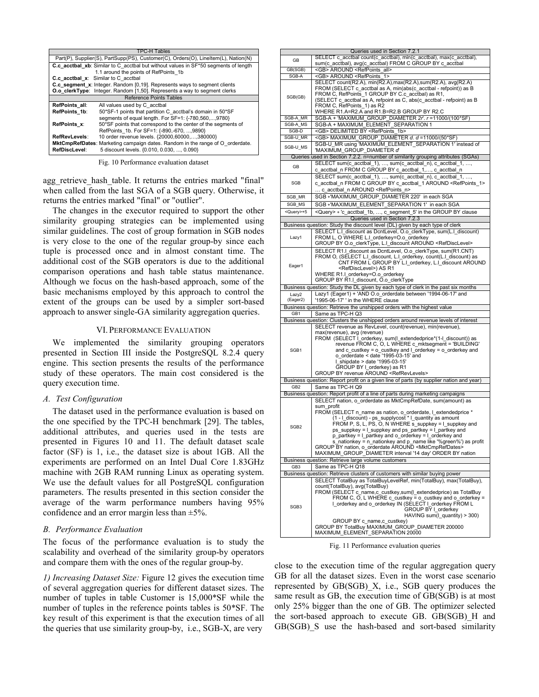|                                                                                     | <b>TPC-H Tables</b>                                                           |  |  |
|-------------------------------------------------------------------------------------|-------------------------------------------------------------------------------|--|--|
| Part(P), Supplier(S), PartSupp(PS), Customer(C), Orders(O), LineItem(L), Nation(N)  |                                                                               |  |  |
| C.c acctbal xb: Similar to C acctbal but without values in SF*50 segments of length |                                                                               |  |  |
|                                                                                     | 1.1 around the points of RefPoints 1b                                         |  |  |
|                                                                                     | <b>C.c acctbal x:</b> Similar to C acctbal                                    |  |  |
|                                                                                     | C.c segment x: Integer. Random [0,19]. Represents ways to segment clients     |  |  |
|                                                                                     | O.o_clerkType: Integer. Random [1,50]. Represents a way to segment clerks     |  |  |
| <b>Reference Points Tables</b>                                                      |                                                                               |  |  |
| RefPoints all:                                                                      | All values used by C acctbal                                                  |  |  |
| RefPoints 1b:                                                                       | 50*SF-1 points that partition C acctbal's domain in 50*SF                     |  |  |
|                                                                                     | segments of equal length. For SF=1: {-780,560,,9780}                          |  |  |
| RefPoints x:                                                                        | 50*SF points that correspond to the center of the segments of                 |  |  |
|                                                                                     | RefPoints 1b. For SF=1: {-890,-670, , 9890}                                   |  |  |
| RefRevLevels:                                                                       | 10 order revenue levels. {20000,60000,,380000}                                |  |  |
|                                                                                     | MktCmpRefDates: Marketing campaign dates. Random in the range of O orderdate. |  |  |
| <b>RefDiscLevel:</b>                                                                | 5 discount levels. {0.010, 0.030, , 0.090}                                    |  |  |

Fig. 10 Performance evaluation dataset

agg\_retrieve\_hash\_table. It returns the entries marked "final" when called from the last SGA of a SGB query. Otherwise, it returns the entries marked "final" or "outlier".

The changes in the executor required to support the other similarity grouping strategies can be implemented using similar guidelines. The cost of group formation in SGB nodes is very close to the one of the regular group-by since each tuple is processed once and in almost constant time. The additional cost of the SGB operators is due to the additional comparison operations and hash table status maintenance. Although we focus on the hash-based approach, some of the basic mechanisms employed by this approach to control the extent of the groups can be used by a simpler sort-based approach to answer single-GA similarity aggregation queries.

## VI.PERFORMANCE EVALUATION

We implemented the similarity grouping operators presented in Section III inside the PostgreSQL 8.2.4 query engine. This section presents the results of the performance study of these operators. The main cost considered is the query execution time.

# *A. Test Configuration*

The dataset used in the performance evaluation is based on the one specified by the TPC-H benchmark [29]. The tables, additional attributes, and queries used in the tests are presented in Figures 10 and 11. The default dataset scale factor (SF) is 1, i.e., the dataset size is about 1GB. All the experiments are performed on an Intel Dual Core 1.83GHz machine with 2GB RAM running Linux as operating system. We use the default values for all PostgreSQL configuration parameters. The results presented in this section consider the average of the warm performance numbers having 95% confidence and an error margin less than ±5%.

#### *B. Performance Evaluation*

The focus of the performance evaluation is to study the scalability and overhead of the similarity group-by operators and compare them with the ones of the regular group-by.

*1) Increasing Dataset Size:* Figure 12 gives the execution time of several aggregation queries for different dataset sizes. The number of tuples in table Customer is 15,000\*SF while the number of tuples in the reference points tables is 50\*SF. The key result of this experiment is that the execution times of all the queries that use similarity group-by, i.e., SGB-X, are very

|                   | Queries used in Section 7.2.1                                                                                                      |
|-------------------|------------------------------------------------------------------------------------------------------------------------------------|
| GB                | SELECT c_acctbal count(c_acctbal), min(c_acctbal), max(c_acctbal),                                                                 |
|                   | sum(c_acctbal), avg(c_acctbal) FROM C GROUP BY c_acctbal                                                                           |
| GB(SGB)           | <gb> AROUND <refpoints all=""></refpoints></gb>                                                                                    |
| SGB-A             | <gb> AROUND <refpoints 1=""></refpoints></gb>                                                                                      |
|                   | SELECT count(R2.A), min(R2.A), max(R2.A), sum(R2.A), avg(R2.A)                                                                     |
|                   | FROM (SELECT c acctbal as A, min(abs(c acctbal - refpoint)) as B                                                                   |
| SGB(GB)           | FROM C, RefPoints_1 GROUP BY C.c_acctbal) as R1,                                                                                   |
|                   | (SELECT c_acctbal as A, refpoint as C, abs(c_acctbal - refpoint) as B                                                              |
|                   | FROM C, RefPoints_1) as R2                                                                                                         |
|                   | WHERE R1.A=R2.A and R1.B=R2.B GROUP BY R2.C                                                                                        |
| SGB-A_MR          | SGB-A + 'MAXIMUM GROUP DIAMETER 2r'. r =11000/(100*SF)                                                                             |
| SGB-A_MS          | SGB-A + MAXIMUM ELEMENT SEPARATION 1                                                                                               |
| SGB-D             | <gb> DELIMITED BY <refpoints 1b=""></refpoints></gb>                                                                               |
| SGB-U_MR          | <gb> MAXIMUM GROUP DIAMETER d. d =11000/(50*SF)</gb>                                                                               |
|                   | SGB-U MR using 'MAXIMUM ELEMENT SEPARATION 1' instead of                                                                           |
| SGB-U MS          | 'MAXIMUM GROUP DIAMETER d'                                                                                                         |
|                   | Queries used in Section 7.2.2. n=number of similarity grouping attributes (SGAs)                                                   |
|                   | SELECT sum(c acctbal 1), , sum(c acctbal n), c acctbal 1, ,                                                                        |
| GB                | c acctbal n FROM C GROUP BY c_acctbal_1,, c_acctbal_n                                                                              |
|                   |                                                                                                                                    |
|                   | SELECT sum(c_acctbal_1), , sum(c_acctbal_n), c_acctbal_1, ,                                                                        |
| SGB               | c acctbal n FROM C GROUP BY c acctbal 1 AROUND <refpoints 1=""></refpoints>                                                        |
|                   | c acctbal n AROUND <refpoints n=""></refpoints>                                                                                    |
| SGB_MR            | SGB +'MAXIMUM GROUP DIAMETER 220' in each SGA                                                                                      |
| SGB_MS            | SGB +'MAXIMUM ELEMENT SEPARATION 1' in each SGA                                                                                    |
|                   |                                                                                                                                    |
| <query>+5</query> | <query> + 'c acctbal 1b, , c segment 5' in the GROUP BY clause</query>                                                             |
|                   | Queries used in Section 7.2.3                                                                                                      |
|                   | Business question: Study the discount level (DL) given by each type of clerk                                                       |
|                   | SELECT L.I discount as DcntLevel, O.o clerkType, sum(L.I discount)                                                                 |
| Lazy1             | FROM L, O WHERE L.I_orderkey=O.o_orderkey                                                                                          |
|                   | GROUP BY O.o clerkType, L.I discount AROUND <refdisclevel></refdisclevel>                                                          |
|                   | SELECT R1.I discount as DcntLevel, O.o clerkType, sum(R1.CNT)                                                                      |
|                   | FROM O, (SELECT L.I discount, L.I orderkey, count(L.I discount) as                                                                 |
|                   | CNT FROM L GROUP BY L.I_orderkey, L.I_discount AROUND                                                                              |
| Eager1            | <refdisclevel>) AS R1</refdisclevel>                                                                                               |
|                   | WHERE R1.I_orderkey=O.o_orderkey                                                                                                   |
|                   | GROUP BY R1.I discount, O.o clerkType                                                                                              |
|                   | Business question: Study the DL given by each type of clerk in the past six months                                                 |
| Lazv2             | Lazy1 (Eager1) + 'AND O.o orderdate between '1994-06-17' and                                                                       |
| (Eager2)          | '1995-06-17' ' in the WHERE clause                                                                                                 |
|                   |                                                                                                                                    |
|                   | Business question: Retrieve the unshipped orders with the highest value                                                            |
|                   |                                                                                                                                    |
| GB1               | Same as TPC-H Q3                                                                                                                   |
|                   | Business question: Clusters the unshipped orders around revenue levels of interest                                                 |
|                   | SELECT revenue as RevLevel, count(revenue), min(revenue),                                                                          |
|                   | max(revenue), avg (revenue)                                                                                                        |
|                   | FROM (SELECT I orderkey, sum(I extendedprice*(1-I discount)) as                                                                    |
|                   | revenue FROM C, O, L WHERE c_mktsegment = 'BUILDING'                                                                               |
| SGB1              | and c custkey = $o$ custkey and $l$ orderkey = $o$ orderkey and                                                                    |
|                   | o_orderdate < date '1995-03-15' and                                                                                                |
|                   | I shipdate > date '1995-03-15'                                                                                                     |
|                   | GROUP BY I orderkey) as R1                                                                                                         |
|                   | GROUP BY revenue AROUND <refrevlevels></refrevlevels>                                                                              |
|                   | Business question: Report profit on a given line of parts (by supplier nation and year)                                            |
| GB <sub>2</sub>   | Same as TPC-H Q9                                                                                                                   |
|                   | Business question: Report profit of a line of parts during marketing campaigns                                                     |
|                   |                                                                                                                                    |
|                   | SELECT nation, o orderdate as MktCmpRefDate, sum(amount) as<br>sum profit                                                          |
|                   | FROM (SELECT n name as nation, o orderdate, I extendedprice *                                                                      |
|                   |                                                                                                                                    |
|                   | (1 - I discount) - ps supplycost * I quantity as amount                                                                            |
| SGB <sub>2</sub>  | FROM P, S, L, PS, O, N WHERE s suppkey = I suppkey and                                                                             |
|                   | ps_suppkey = I_suppkey and ps_partkey = I_partkey and                                                                              |
|                   | p_partkey = I_partkey and o_orderkey = I_orderkey and<br>s nationkey = n nationkey and p name like '%green%') as profit            |
|                   |                                                                                                                                    |
|                   | GROUP BY nation, o_orderdate AROUND <mktcmprefdates><br/>MAXIMUM GROUP DIAMETER interval '14 day' ORDER BY nation</mktcmprefdates> |
|                   |                                                                                                                                    |
|                   | Business question: Retrieve large volume customers                                                                                 |
| GB <sub>3</sub>   | Same as TPC-H Q18                                                                                                                  |
|                   | Business question: Retrieve clusters of customers with similar buying power                                                        |
|                   | SELECT TotalBuy as TotalBuyLevelRef, min(TotalBuy), max(TotalBuy),                                                                 |
|                   | count(TotalBuy), avg(TotalBuy)                                                                                                     |
|                   | FROM (SELECT c name, c custkey, sum (I extended price) as TotalBuy                                                                 |
|                   |                                                                                                                                    |
| SGB <sub>3</sub>  | FROM C, O, L WHERE c_custkey = o_custkey and o_orderkey =<br>I_orderkey and o_orderkey IN (SELECT I_orderkey FROM L                |
|                   | GROUP BY I orderkey                                                                                                                |
|                   | HAVING sum(I quantity) $>$ 300)                                                                                                    |
|                   | GROUP BY c name, c custkey)                                                                                                        |
|                   | GROUP BY TotalBuy MAXIMUM GROUP DIAMETER 200000                                                                                    |
|                   | MAXIMUM_ELEMENT_SEPARATION 20000                                                                                                   |

Fig. 11 Performance evaluation queries

close to the execution time of the regular aggregation query GB for all the dataset sizes. Even in the worst case scenario represented by GB(SGB)\_X, i.e., SGB query produces the same result as GB, the execution time of GB(SGB) is at most only 25% bigger than the one of GB. The optimizer selected the sort-based approach to execute GB. GB(SGB)\_H and GB(SGB) S use the hash-based and sort-based similarity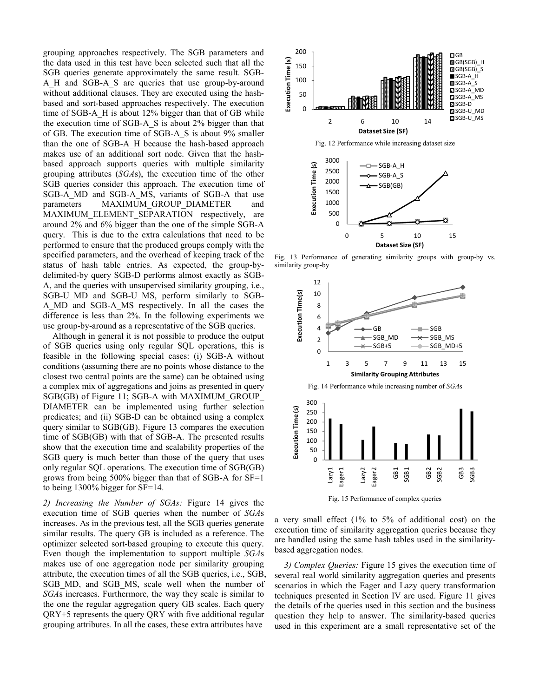grouping approaches respectively. The SGB parameters and the data used in this test have been selected such that all the SGB queries generate approximately the same result. SGB-A\_H and SGB-A\_S are queries that use group-by-around without additional clauses. They are executed using the hashbased and sort-based approaches respectively. The execution time of SGB-A H is about 12% bigger than that of GB while the execution time of SGB-A\_S is about 2% bigger than that of GB. The execution time of SGB-A\_S is about 9% smaller than the one of SGB-A\_H because the hash-based approach makes use of an additional sort node. Given that the hashbased approach supports queries with multiple similarity grouping attributes (*SGA*s), the execution time of the other SGB queries consider this approach. The execution time of SGB-A\_MD and SGB-A\_MS, variants of SGB-A that use parameters MAXIMUM GROUP DIAMETER and MAXIMUM ELEMENT SEPARATION respectively, are around 2% and 6% bigger than the one of the simple SGB-A query. This is due to the extra calculations that need to be performed to ensure that the produced groups comply with the specified parameters, and the overhead of keeping track of the status of hash table entries. As expected, the group-bydelimited-by query SGB-D performs almost exactly as SGB-A, and the queries with unsupervised similarity grouping, i.e., SGB-U\_MD and SGB-U\_MS, perform similarly to SGB-A\_MD and SGB-A\_MS respectively. In all the cases the difference is less than 2%. In the following experiments we use group-by-around as a representative of the SGB queries.

Although in general it is not possible to produce the output of SGB queries using only regular SQL operations, this is feasible in the following special cases: (i) SGB-A without conditions (assuming there are no points whose distance to the closest two central points are the same) can be obtained using a complex mix of aggregations and joins as presented in query SGB(GB) of Figure 11; SGB-A with MAXIMUM GROUP DIAMETER can be implemented using further selection predicates; and (ii) SGB-D can be obtained using a complex query similar to SGB(GB). Figure 13 compares the execution time of SGB(GB) with that of SGB-A. The presented results show that the execution time and scalability properties of the SGB query is much better than those of the query that uses only regular SQL operations. The execution time of SGB(GB) grows from being 500% bigger than that of SGB-A for SF=1 to being 1300% bigger for SF=14.

*2) Increasing the Number of SGAs:* Figure 14 gives the execution time of SGB queries when the number of *SGA*s increases. As in the previous test, all the SGB queries generate similar results. The query GB is included as a reference. The optimizer selected sort-based grouping to execute this query. Even though the implementation to support multiple *SGA*s makes use of one aggregation node per similarity grouping attribute, the execution times of all the SGB queries, i.e., SGB, SGB MD, and SGB MS, scale well when the number of *SGA*s increases. Furthermore, the way they scale is similar to the one the regular aggregation query GB scales. Each query QRY+5 represents the query QRY with five additional regular grouping attributes. In all the cases, these extra attributes have



Fig. 13 Performance of generating similarity groups with group-by vs. similarity group-by



Fig. 15 Performance of complex queries

a very small effect (1% to 5% of additional cost) on the execution time of similarity aggregation queries because they are handled using the same hash tables used in the similaritybased aggregation nodes.

*3) Complex Queries:* Figure 15 gives the execution time of several real world similarity aggregation queries and presents scenarios in which the Eager and Lazy query transformation techniques presented in Section IV are used. Figure 11 gives the details of the queries used in this section and the business question they help to answer. The similarity-based queries used in this experiment are a small representative set of the